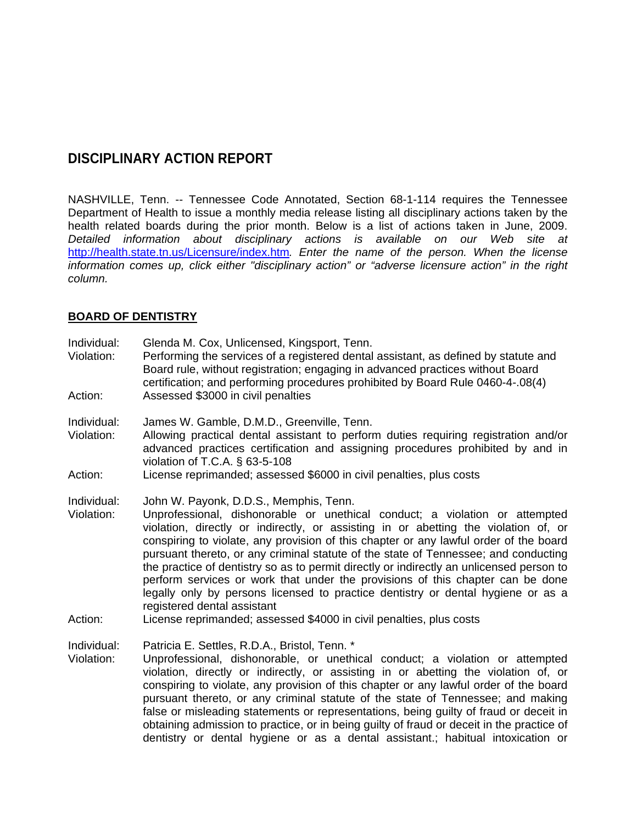# **DISCIPLINARY ACTION REPORT**

NASHVILLE, Tenn. -- Tennessee Code Annotated, Section 68-1-114 requires the Tennessee Department of Health to issue a monthly media release listing all disciplinary actions taken by the health related boards during the prior month. Below is a list of actions taken in June, 2009. *Detailed information about disciplinary actions is available on our Web site at*  <http://health.state.tn.us/Licensure/index.htm>*. Enter the name of the person. When the license information comes up, click either "disciplinary action" or "adverse licensure action" in the right column.* 

### **BOARD OF DENTISTRY**

| Individual:<br>Violation:            | Glenda M. Cox, Unlicensed, Kingsport, Tenn.<br>Performing the services of a registered dental assistant, as defined by statute and<br>Board rule, without registration; engaging in advanced practices without Board<br>certification; and performing procedures prohibited by Board Rule 0460-4-.08(4)                                                                                                                                                                                                                                                                                                                                                                                                                                                              |
|--------------------------------------|----------------------------------------------------------------------------------------------------------------------------------------------------------------------------------------------------------------------------------------------------------------------------------------------------------------------------------------------------------------------------------------------------------------------------------------------------------------------------------------------------------------------------------------------------------------------------------------------------------------------------------------------------------------------------------------------------------------------------------------------------------------------|
| Action:                              | Assessed \$3000 in civil penalties                                                                                                                                                                                                                                                                                                                                                                                                                                                                                                                                                                                                                                                                                                                                   |
| Individual:<br>Violation:            | James W. Gamble, D.M.D., Greenville, Tenn.<br>Allowing practical dental assistant to perform duties requiring registration and/or<br>advanced practices certification and assigning procedures prohibited by and in<br>violation of T.C.A. $\S$ 63-5-108                                                                                                                                                                                                                                                                                                                                                                                                                                                                                                             |
| Action:                              | License reprimanded; assessed \$6000 in civil penalties, plus costs                                                                                                                                                                                                                                                                                                                                                                                                                                                                                                                                                                                                                                                                                                  |
| Individual:<br>Violation:<br>Action: | John W. Payonk, D.D.S., Memphis, Tenn.<br>Unprofessional, dishonorable or unethical conduct; a violation or attempted<br>violation, directly or indirectly, or assisting in or abetting the violation of, or<br>conspiring to violate, any provision of this chapter or any lawful order of the board<br>pursuant thereto, or any criminal statute of the state of Tennessee; and conducting<br>the practice of dentistry so as to permit directly or indirectly an unlicensed person to<br>perform services or work that under the provisions of this chapter can be done<br>legally only by persons licensed to practice dentistry or dental hygiene or as a<br>registered dental assistant<br>License reprimanded; assessed \$4000 in civil penalties, plus costs |
| Individual:<br>Violation:            | Patricia E. Settles, R.D.A., Bristol, Tenn. *<br>Unprofessional, dishonorable, or unethical conduct; a violation or attempted<br>violation, directly or indirectly, or assisting in or abetting the violation of, or<br>conspiring to violate, any provision of this chapter or any lawful order of the board<br>pursuant thereto, or any criminal statute of the state of Tennessee; and making<br>false or misleading statements or representations, being guilty of fraud or deceit in<br>obtaining admission to practice, or in being guilty of fraud or deceit in the practice of<br>dentistry or dental hygiene or as a dental assistant.; habitual intoxication or                                                                                            |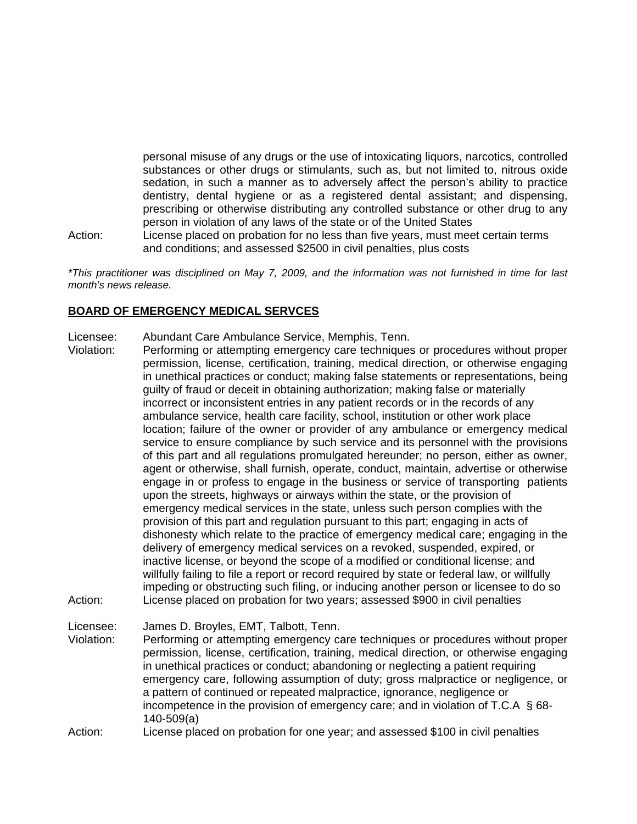personal misuse of any drugs or the use of intoxicating liquors, narcotics, controlled substances or other drugs or stimulants, such as, but not limited to, nitrous oxide sedation, in such a manner as to adversely affect the person's ability to practice dentistry, dental hygiene or as a registered dental assistant; and dispensing, prescribing or otherwise distributing any controlled substance or other drug to any person in violation of any laws of the state or of the United States

Action: License placed on probation for no less than five years, must meet certain terms and conditions; and assessed \$2500 in civil penalties, plus costs

*\*This practitioner was disciplined on May 7, 2009, and the information was not furnished in time for last month's news release.* 

#### **BOARD OF EMERGENCY MEDICAL SERVCES**

- Licensee: Abundant Care Ambulance Service, Memphis, Tenn.
- Violation: Performing or attempting emergency care techniques or procedures without proper permission, license, certification, training, medical direction, or otherwise engaging in unethical practices or conduct; making false statements or representations, being guilty of fraud or deceit in obtaining authorization; making false or materially incorrect or inconsistent entries in any patient records or in the records of any ambulance service, health care facility, school, institution or other work place location; failure of the owner or provider of any ambulance or emergency medical service to ensure compliance by such service and its personnel with the provisions of this part and all regulations promulgated hereunder; no person, either as owner, agent or otherwise, shall furnish, operate, conduct, maintain, advertise or otherwise engage in or profess to engage in the business or service of transporting patients upon the streets, highways or airways within the state, or the provision of emergency medical services in the state, unless such person complies with the provision of this part and regulation pursuant to this part; engaging in acts of dishonesty which relate to the practice of emergency medical care; engaging in the delivery of emergency medical services on a revoked, suspended, expired, or inactive license, or beyond the scope of a modified or conditional license; and willfully failing to file a report or record required by state or federal law, or willfully impeding or obstructing such filing, or inducing another person or licensee to do so Action: License placed on probation for two years; assessed \$900 in civil penalties Licensee: James D. Broyles, EMT, Talbott, Tenn.
- Violation: Performing or attempting emergency care techniques or procedures without proper permission, license, certification, training, medical direction, or otherwise engaging in unethical practices or conduct; abandoning or neglecting a patient requiring emergency care, following assumption of duty; gross malpractice or negligence, or a pattern of continued or repeated malpractice, ignorance, negligence or incompetence in the provision of emergency care; and in violation of T.C.A § 68- 140-509(a)
- Action: License placed on probation for one year; and assessed \$100 in civil penalties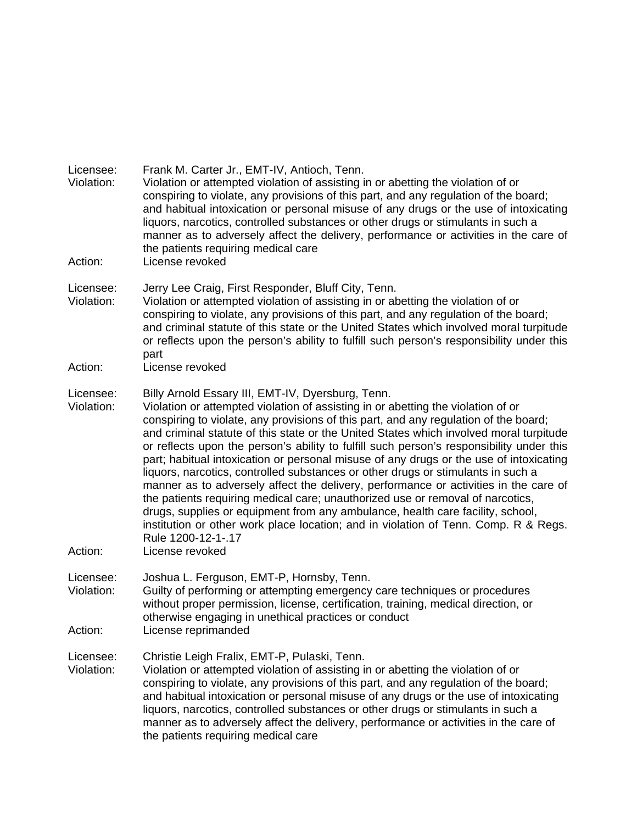| Licensee:<br>Violation:<br>Action: | Frank M. Carter Jr., EMT-IV, Antioch, Tenn.<br>Violation or attempted violation of assisting in or abetting the violation of or<br>conspiring to violate, any provisions of this part, and any regulation of the board;<br>and habitual intoxication or personal misuse of any drugs or the use of intoxicating<br>liquors, narcotics, controlled substances or other drugs or stimulants in such a<br>manner as to adversely affect the delivery, performance or activities in the care of<br>the patients requiring medical care<br>License revoked                                                                                                                                                                                                                                                                                                                                                                                                                                         |
|------------------------------------|-----------------------------------------------------------------------------------------------------------------------------------------------------------------------------------------------------------------------------------------------------------------------------------------------------------------------------------------------------------------------------------------------------------------------------------------------------------------------------------------------------------------------------------------------------------------------------------------------------------------------------------------------------------------------------------------------------------------------------------------------------------------------------------------------------------------------------------------------------------------------------------------------------------------------------------------------------------------------------------------------|
|                                    |                                                                                                                                                                                                                                                                                                                                                                                                                                                                                                                                                                                                                                                                                                                                                                                                                                                                                                                                                                                               |
| Licensee:<br>Violation:            | Jerry Lee Craig, First Responder, Bluff City, Tenn.<br>Violation or attempted violation of assisting in or abetting the violation of or<br>conspiring to violate, any provisions of this part, and any regulation of the board;<br>and criminal statute of this state or the United States which involved moral turpitude<br>or reflects upon the person's ability to fulfill such person's responsibility under this<br>part                                                                                                                                                                                                                                                                                                                                                                                                                                                                                                                                                                 |
| Action:                            | License revoked                                                                                                                                                                                                                                                                                                                                                                                                                                                                                                                                                                                                                                                                                                                                                                                                                                                                                                                                                                               |
| Licensee:<br>Violation:<br>Action: | Billy Arnold Essary III, EMT-IV, Dyersburg, Tenn.<br>Violation or attempted violation of assisting in or abetting the violation of or<br>conspiring to violate, any provisions of this part, and any regulation of the board;<br>and criminal statute of this state or the United States which involved moral turpitude<br>or reflects upon the person's ability to fulfill such person's responsibility under this<br>part; habitual intoxication or personal misuse of any drugs or the use of intoxicating<br>liquors, narcotics, controlled substances or other drugs or stimulants in such a<br>manner as to adversely affect the delivery, performance or activities in the care of<br>the patients requiring medical care; unauthorized use or removal of narcotics,<br>drugs, supplies or equipment from any ambulance, health care facility, school,<br>institution or other work place location; and in violation of Tenn. Comp. R & Regs.<br>Rule 1200-12-1-.17<br>License revoked |
| Licensee:<br>Violation:            | Joshua L. Ferguson, EMT-P, Hornsby, Tenn.<br>Guilty of performing or attempting emergency care techniques or procedures<br>without proper permission, license, certification, training, medical direction, or<br>otherwise engaging in unethical practices or conduct                                                                                                                                                                                                                                                                                                                                                                                                                                                                                                                                                                                                                                                                                                                         |
| Action:                            | License reprimanded                                                                                                                                                                                                                                                                                                                                                                                                                                                                                                                                                                                                                                                                                                                                                                                                                                                                                                                                                                           |
| Licensee:<br>Violation:            | Christie Leigh Fralix, EMT-P, Pulaski, Tenn.<br>Violation or attempted violation of assisting in or abetting the violation of or<br>conspiring to violate, any provisions of this part, and any regulation of the board;<br>and habitual intoxication or personal misuse of any drugs or the use of intoxicating<br>liquors, narcotics, controlled substances or other drugs or stimulants in such a<br>manner as to adversely affect the delivery, performance or activities in the care of<br>the patients requiring medical care                                                                                                                                                                                                                                                                                                                                                                                                                                                           |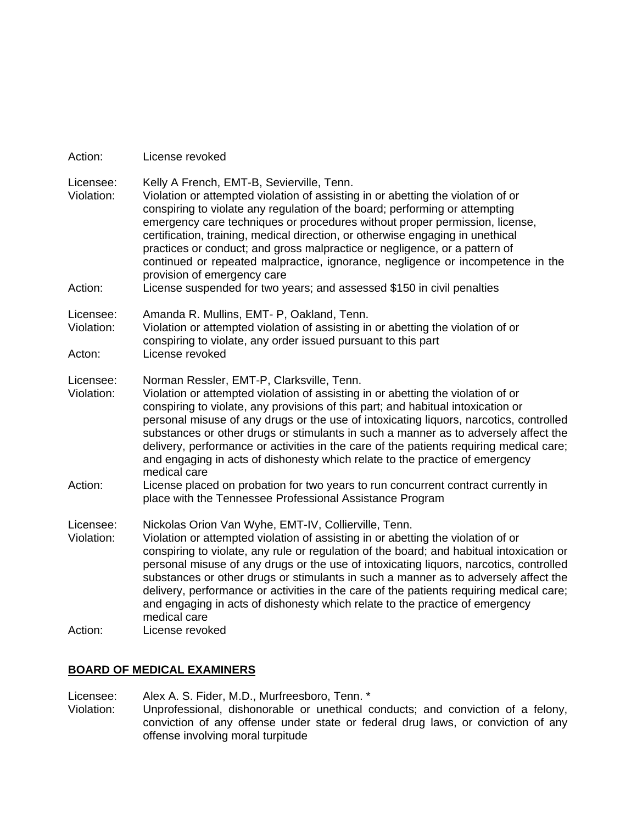| Action:                            | License revoked                                                                                                                                                                                                                                                                                                                                                                                                                                                                                                                                                                                                                                                                    |
|------------------------------------|------------------------------------------------------------------------------------------------------------------------------------------------------------------------------------------------------------------------------------------------------------------------------------------------------------------------------------------------------------------------------------------------------------------------------------------------------------------------------------------------------------------------------------------------------------------------------------------------------------------------------------------------------------------------------------|
| Licensee:<br>Violation:<br>Action: | Kelly A French, EMT-B, Sevierville, Tenn.<br>Violation or attempted violation of assisting in or abetting the violation of or<br>conspiring to violate any regulation of the board; performing or attempting<br>emergency care techniques or procedures without proper permission, license,<br>certification, training, medical direction, or otherwise engaging in unethical<br>practices or conduct; and gross malpractice or negligence, or a pattern of<br>continued or repeated malpractice, ignorance, negligence or incompetence in the<br>provision of emergency care<br>License suspended for two years; and assessed \$150 in civil penalties                            |
| Licensee:<br>Violation:<br>Acton:  | Amanda R. Mullins, EMT- P, Oakland, Tenn.<br>Violation or attempted violation of assisting in or abetting the violation of or<br>conspiring to violate, any order issued pursuant to this part<br>License revoked                                                                                                                                                                                                                                                                                                                                                                                                                                                                  |
| Licensee:<br>Violation:<br>Action: | Norman Ressler, EMT-P, Clarksville, Tenn.<br>Violation or attempted violation of assisting in or abetting the violation of or<br>conspiring to violate, any provisions of this part; and habitual intoxication or<br>personal misuse of any drugs or the use of intoxicating liquors, narcotics, controlled<br>substances or other drugs or stimulants in such a manner as to adversely affect the<br>delivery, performance or activities in the care of the patients requiring medical care;<br>and engaging in acts of dishonesty which relate to the practice of emergency<br>medical care<br>License placed on probation for two years to run concurrent contract currently in |
| Licensee:<br>Violation:            | place with the Tennessee Professional Assistance Program<br>Nickolas Orion Van Wyhe, EMT-IV, Collierville, Tenn.<br>Violation or attempted violation of assisting in or abetting the violation of or                                                                                                                                                                                                                                                                                                                                                                                                                                                                               |
|                                    | conspiring to violate, any rule or regulation of the board; and habitual intoxication or<br>personal misuse of any drugs or the use of intoxicating liquors, narcotics, controlled<br>substances or other drugs or stimulants in such a manner as to adversely affect the<br>delivery, performance or activities in the care of the patients requiring medical care;<br>and engaging in acts of dishonesty which relate to the practice of emergency<br>medical care                                                                                                                                                                                                               |
| Action:                            | License revoked                                                                                                                                                                                                                                                                                                                                                                                                                                                                                                                                                                                                                                                                    |

## **BOARD OF MEDICAL EXAMINERS**

Licensee: Alex A. S. Fider, M.D., Murfreesboro, Tenn. \*<br>Violation: Unprofessional, dishonorable or unethical c

Unprofessional, dishonorable or unethical conducts; and conviction of a felony, conviction of any offense under state or federal drug laws, or conviction of any offense involving moral turpitude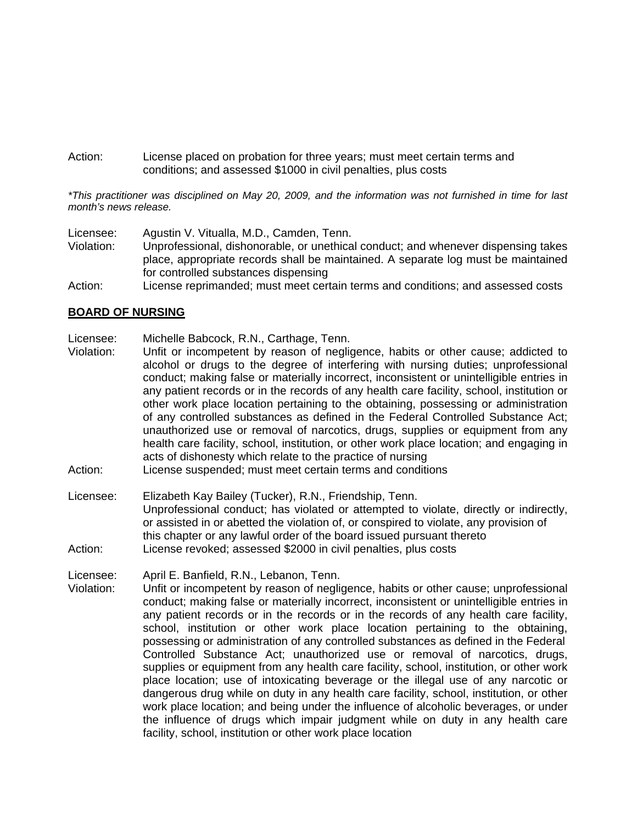Action: License placed on probation for three years; must meet certain terms and conditions; and assessed \$1000 in civil penalties, plus costs

*\*This practitioner was disciplined on May 20, 2009, and the information was not furnished in time for last month's news release.* 

Licensee: Agustin V. Vitualla, M.D., Camden, Tenn.

- Violation: Unprofessional, dishonorable, or unethical conduct; and whenever dispensing takes place, appropriate records shall be maintained. A separate log must be maintained for controlled substances dispensing
- Action: License reprimanded; must meet certain terms and conditions; and assessed costs

#### **BOARD OF NURSING**

- Licensee: Michelle Babcock, R.N., Carthage, Tenn.
- Violation: Unfit or incompetent by reason of negligence, habits or other cause; addicted to alcohol or drugs to the degree of interfering with nursing duties; unprofessional conduct; making false or materially incorrect, inconsistent or unintelligible entries in any patient records or in the records of any health care facility, school, institution or other work place location pertaining to the obtaining, possessing or administration of any controlled substances as defined in the Federal Controlled Substance Act; unauthorized use or removal of narcotics, drugs, supplies or equipment from any health care facility, school, institution, or other work place location; and engaging in acts of dishonesty which relate to the practice of nursing
- Action: License suspended; must meet certain terms and conditions
- Licensee: Elizabeth Kay Bailey (Tucker), R.N., Friendship, Tenn. Unprofessional conduct; has violated or attempted to violate, directly or indirectly, or assisted in or abetted the violation of, or conspired to violate, any provision of this chapter or any lawful order of the board issued pursuant thereto Action: License revoked; assessed \$2000 in civil penalties, plus costs

Licensee: April E. Banfield, R.N., Lebanon, Tenn.

Violation: Unfit or incompetent by reason of negligence, habits or other cause; unprofessional conduct; making false or materially incorrect, inconsistent or unintelligible entries in any patient records or in the records or in the records of any health care facility, school, institution or other work place location pertaining to the obtaining, possessing or administration of any controlled substances as defined in the Federal Controlled Substance Act; unauthorized use or removal of narcotics, drugs, supplies or equipment from any health care facility, school, institution, or other work place location; use of intoxicating beverage or the illegal use of any narcotic or dangerous drug while on duty in any health care facility, school, institution, or other work place location; and being under the influence of alcoholic beverages, or under the influence of drugs which impair judgment while on duty in any health care facility, school, institution or other work place location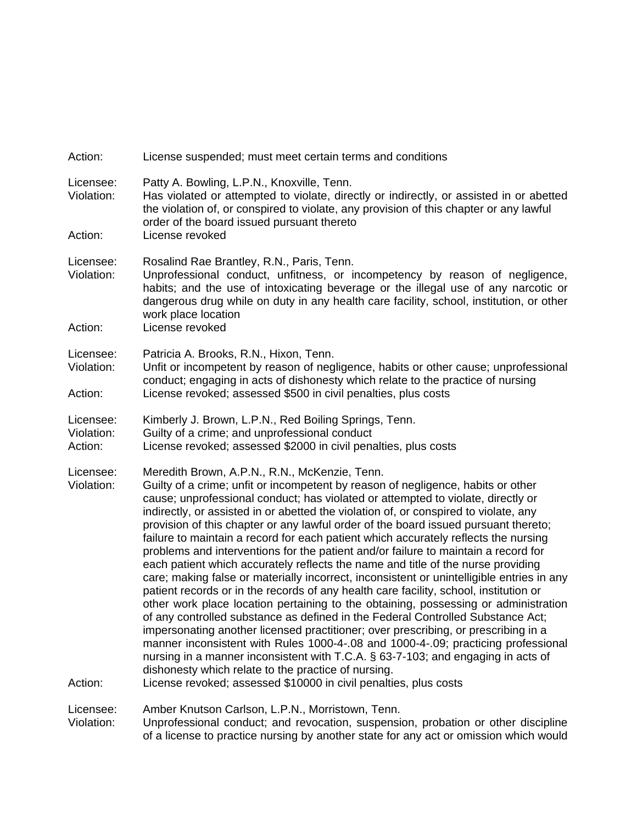| Action:                            | License suspended; must meet certain terms and conditions                                                                                                                                                                                                                                                                                                                                                                                                                                                                                                                                                                                                                                                                                                                                                                                                                                                                                                                                                                                                                                                                                                                                                                                                                                                                                                                                                                       |
|------------------------------------|---------------------------------------------------------------------------------------------------------------------------------------------------------------------------------------------------------------------------------------------------------------------------------------------------------------------------------------------------------------------------------------------------------------------------------------------------------------------------------------------------------------------------------------------------------------------------------------------------------------------------------------------------------------------------------------------------------------------------------------------------------------------------------------------------------------------------------------------------------------------------------------------------------------------------------------------------------------------------------------------------------------------------------------------------------------------------------------------------------------------------------------------------------------------------------------------------------------------------------------------------------------------------------------------------------------------------------------------------------------------------------------------------------------------------------|
| Licensee:<br>Violation:<br>Action: | Patty A. Bowling, L.P.N., Knoxville, Tenn.<br>Has violated or attempted to violate, directly or indirectly, or assisted in or abetted<br>the violation of, or conspired to violate, any provision of this chapter or any lawful<br>order of the board issued pursuant thereto<br>License revoked                                                                                                                                                                                                                                                                                                                                                                                                                                                                                                                                                                                                                                                                                                                                                                                                                                                                                                                                                                                                                                                                                                                                |
| Licensee:<br>Violation:<br>Action: | Rosalind Rae Brantley, R.N., Paris, Tenn.<br>Unprofessional conduct, unfitness, or incompetency by reason of negligence,<br>habits; and the use of intoxicating beverage or the illegal use of any narcotic or<br>dangerous drug while on duty in any health care facility, school, institution, or other<br>work place location<br>License revoked                                                                                                                                                                                                                                                                                                                                                                                                                                                                                                                                                                                                                                                                                                                                                                                                                                                                                                                                                                                                                                                                             |
| Licensee:<br>Violation:<br>Action: | Patricia A. Brooks, R.N., Hixon, Tenn.<br>Unfit or incompetent by reason of negligence, habits or other cause; unprofessional<br>conduct; engaging in acts of dishonesty which relate to the practice of nursing<br>License revoked; assessed \$500 in civil penalties, plus costs                                                                                                                                                                                                                                                                                                                                                                                                                                                                                                                                                                                                                                                                                                                                                                                                                                                                                                                                                                                                                                                                                                                                              |
| Licensee:<br>Violation:<br>Action: | Kimberly J. Brown, L.P.N., Red Boiling Springs, Tenn.<br>Guilty of a crime; and unprofessional conduct<br>License revoked; assessed \$2000 in civil penalties, plus costs                                                                                                                                                                                                                                                                                                                                                                                                                                                                                                                                                                                                                                                                                                                                                                                                                                                                                                                                                                                                                                                                                                                                                                                                                                                       |
| Licensee:<br>Violation:<br>Action: | Meredith Brown, A.P.N., R.N., McKenzie, Tenn.<br>Guilty of a crime; unfit or incompetent by reason of negligence, habits or other<br>cause; unprofessional conduct; has violated or attempted to violate, directly or<br>indirectly, or assisted in or abetted the violation of, or conspired to violate, any<br>provision of this chapter or any lawful order of the board issued pursuant thereto;<br>failure to maintain a record for each patient which accurately reflects the nursing<br>problems and interventions for the patient and/or failure to maintain a record for<br>each patient which accurately reflects the name and title of the nurse providing<br>care; making false or materially incorrect, inconsistent or unintelligible entries in any<br>patient records or in the records of any health care facility, school, institution or<br>other work place location pertaining to the obtaining, possessing or administration<br>of any controlled substance as defined in the Federal Controlled Substance Act;<br>impersonating another licensed practitioner; over prescribing, or prescribing in a<br>manner inconsistent with Rules 1000-4-.08 and 1000-4-.09; practicing professional<br>nursing in a manner inconsistent with T.C.A. § 63-7-103; and engaging in acts of<br>dishonesty which relate to the practice of nursing.<br>License revoked; assessed \$10000 in civil penalties, plus costs |
| Licensee:<br>Violation:            | Amber Knutson Carlson, L.P.N., Morristown, Tenn.<br>Unprofessional conduct; and revocation, suspension, probation or other discipline<br>of a license to practice nursing by another state for any act or omission which would                                                                                                                                                                                                                                                                                                                                                                                                                                                                                                                                                                                                                                                                                                                                                                                                                                                                                                                                                                                                                                                                                                                                                                                                  |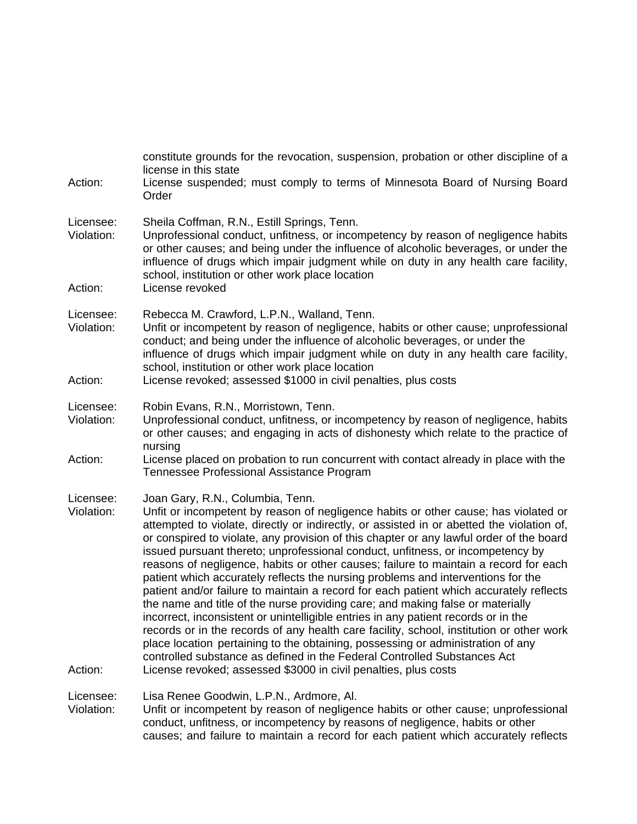| Action:                            | constitute grounds for the revocation, suspension, probation or other discipline of a<br>license in this state<br>License suspended; must comply to terms of Minnesota Board of Nursing Board<br>Order                                                                                                                                                                                                                                                                                                                                                                                                                                                                                                                                                                                                                                                                                                                                                                                                                                                                                                                                                                        |
|------------------------------------|-------------------------------------------------------------------------------------------------------------------------------------------------------------------------------------------------------------------------------------------------------------------------------------------------------------------------------------------------------------------------------------------------------------------------------------------------------------------------------------------------------------------------------------------------------------------------------------------------------------------------------------------------------------------------------------------------------------------------------------------------------------------------------------------------------------------------------------------------------------------------------------------------------------------------------------------------------------------------------------------------------------------------------------------------------------------------------------------------------------------------------------------------------------------------------|
| Licensee:<br>Violation:<br>Action: | Sheila Coffman, R.N., Estill Springs, Tenn.<br>Unprofessional conduct, unfitness, or incompetency by reason of negligence habits<br>or other causes; and being under the influence of alcoholic beverages, or under the<br>influence of drugs which impair judgment while on duty in any health care facility,<br>school, institution or other work place location<br>License revoked                                                                                                                                                                                                                                                                                                                                                                                                                                                                                                                                                                                                                                                                                                                                                                                         |
|                                    |                                                                                                                                                                                                                                                                                                                                                                                                                                                                                                                                                                                                                                                                                                                                                                                                                                                                                                                                                                                                                                                                                                                                                                               |
| Licensee:<br>Violation:            | Rebecca M. Crawford, L.P.N., Walland, Tenn.<br>Unfit or incompetent by reason of negligence, habits or other cause; unprofessional<br>conduct; and being under the influence of alcoholic beverages, or under the<br>influence of drugs which impair judgment while on duty in any health care facility,<br>school, institution or other work place location                                                                                                                                                                                                                                                                                                                                                                                                                                                                                                                                                                                                                                                                                                                                                                                                                  |
| Action:                            | License revoked; assessed \$1000 in civil penalties, plus costs                                                                                                                                                                                                                                                                                                                                                                                                                                                                                                                                                                                                                                                                                                                                                                                                                                                                                                                                                                                                                                                                                                               |
| Licensee:<br>Violation:            | Robin Evans, R.N., Morristown, Tenn.<br>Unprofessional conduct, unfitness, or incompetency by reason of negligence, habits<br>or other causes; and engaging in acts of dishonesty which relate to the practice of<br>nursing                                                                                                                                                                                                                                                                                                                                                                                                                                                                                                                                                                                                                                                                                                                                                                                                                                                                                                                                                  |
| Action:                            | License placed on probation to run concurrent with contact already in place with the<br>Tennessee Professional Assistance Program                                                                                                                                                                                                                                                                                                                                                                                                                                                                                                                                                                                                                                                                                                                                                                                                                                                                                                                                                                                                                                             |
| Licensee:<br>Violation:<br>Action: | Joan Gary, R.N., Columbia, Tenn.<br>Unfit or incompetent by reason of negligence habits or other cause; has violated or<br>attempted to violate, directly or indirectly, or assisted in or abetted the violation of,<br>or conspired to violate, any provision of this chapter or any lawful order of the board<br>issued pursuant thereto; unprofessional conduct, unfitness, or incompetency by<br>reasons of negligence, habits or other causes; failure to maintain a record for each<br>patient which accurately reflects the nursing problems and interventions for the<br>patient and/or failure to maintain a record for each patient which accurately reflects<br>the name and title of the nurse providing care; and making false or materially<br>incorrect, inconsistent or unintelligible entries in any patient records or in the<br>records or in the records of any health care facility, school, institution or other work<br>place location pertaining to the obtaining, possessing or administration of any<br>controlled substance as defined in the Federal Controlled Substances Act<br>License revoked; assessed \$3000 in civil penalties, plus costs |
| Licensee:<br>Violation:            | Lisa Renee Goodwin, L.P.N., Ardmore, Al.<br>Unfit or incompetent by reason of negligence habits or other cause; unprofessional<br>conduct, unfitness, or incompetency by reasons of negligence, habits or other<br>causes; and failure to maintain a record for each patient which accurately reflects                                                                                                                                                                                                                                                                                                                                                                                                                                                                                                                                                                                                                                                                                                                                                                                                                                                                        |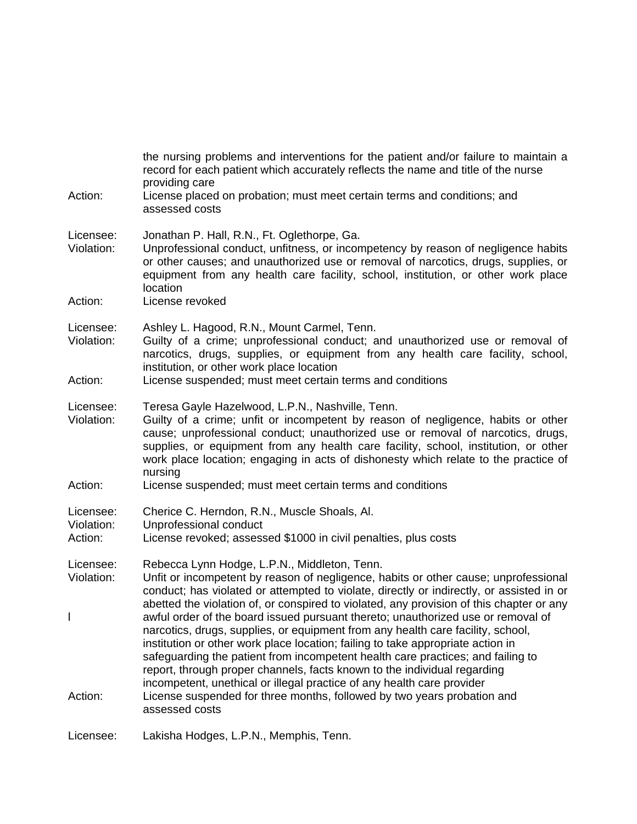| Action:                            | the nursing problems and interventions for the patient and/or failure to maintain a<br>record for each patient which accurately reflects the name and title of the nurse<br>providing care<br>License placed on probation; must meet certain terms and conditions; and                                                                                                                                                                                                                                                                                                                      |
|------------------------------------|---------------------------------------------------------------------------------------------------------------------------------------------------------------------------------------------------------------------------------------------------------------------------------------------------------------------------------------------------------------------------------------------------------------------------------------------------------------------------------------------------------------------------------------------------------------------------------------------|
|                                    | assessed costs                                                                                                                                                                                                                                                                                                                                                                                                                                                                                                                                                                              |
| Licensee:<br>Violation:            | Jonathan P. Hall, R.N., Ft. Oglethorpe, Ga.<br>Unprofessional conduct, unfitness, or incompetency by reason of negligence habits<br>or other causes; and unauthorized use or removal of narcotics, drugs, supplies, or<br>equipment from any health care facility, school, institution, or other work place<br>location                                                                                                                                                                                                                                                                     |
| Action:                            | License revoked                                                                                                                                                                                                                                                                                                                                                                                                                                                                                                                                                                             |
| Licensee:<br>Violation:            | Ashley L. Hagood, R.N., Mount Carmel, Tenn.<br>Guilty of a crime; unprofessional conduct; and unauthorized use or removal of<br>narcotics, drugs, supplies, or equipment from any health care facility, school,<br>institution, or other work place location                                                                                                                                                                                                                                                                                                                                |
| Action:                            | License suspended; must meet certain terms and conditions                                                                                                                                                                                                                                                                                                                                                                                                                                                                                                                                   |
| Licensee:<br>Violation:            | Teresa Gayle Hazelwood, L.P.N., Nashville, Tenn.<br>Guilty of a crime; unfit or incompetent by reason of negligence, habits or other<br>cause; unprofessional conduct; unauthorized use or removal of narcotics, drugs,<br>supplies, or equipment from any health care facility, school, institution, or other<br>work place location; engaging in acts of dishonesty which relate to the practice of<br>nursing                                                                                                                                                                            |
| Action:                            | License suspended; must meet certain terms and conditions                                                                                                                                                                                                                                                                                                                                                                                                                                                                                                                                   |
| Licensee:<br>Violation:<br>Action: | Cherice C. Herndon, R.N., Muscle Shoals, Al.<br>Unprofessional conduct<br>License revoked; assessed \$1000 in civil penalties, plus costs                                                                                                                                                                                                                                                                                                                                                                                                                                                   |
| Licensee:<br>Violation:            | Rebecca Lynn Hodge, L.P.N., Middleton, Tenn.<br>Unfit or incompetent by reason of negligence, habits or other cause; unprofessional<br>conduct; has violated or attempted to violate, directly or indirectly, or assisted in or                                                                                                                                                                                                                                                                                                                                                             |
| L                                  | abetted the violation of, or conspired to violated, any provision of this chapter or any<br>awful order of the board issued pursuant thereto; unauthorized use or removal of<br>narcotics, drugs, supplies, or equipment from any health care facility, school,<br>institution or other work place location; failing to take appropriate action in<br>safeguarding the patient from incompetent health care practices; and failing to<br>report, through proper channels, facts known to the individual regarding<br>incompetent, unethical or illegal practice of any health care provider |
| Action:                            | License suspended for three months, followed by two years probation and<br>assessed costs                                                                                                                                                                                                                                                                                                                                                                                                                                                                                                   |
| Licensee:                          | Lakisha Hodges, L.P.N., Memphis, Tenn.                                                                                                                                                                                                                                                                                                                                                                                                                                                                                                                                                      |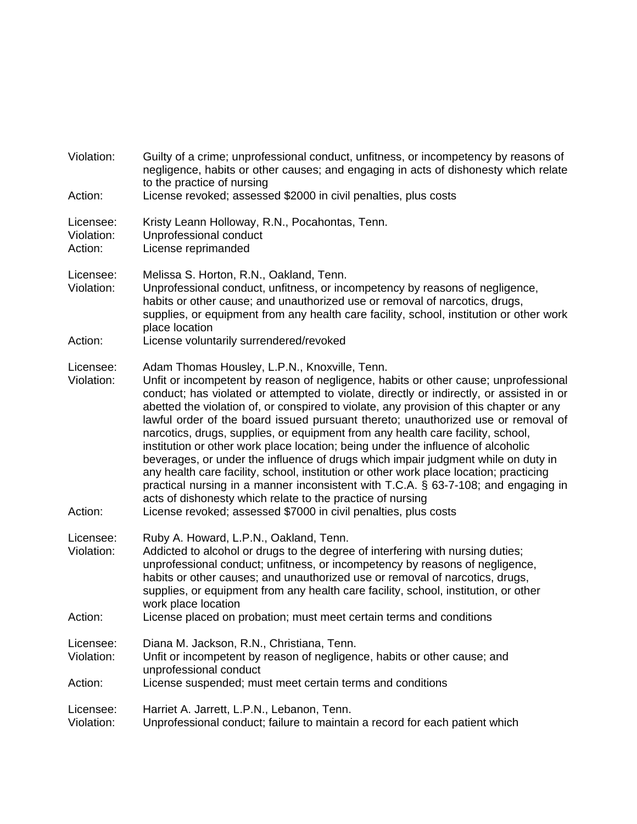| Violation:                         | Guilty of a crime; unprofessional conduct, unfitness, or incompetency by reasons of<br>negligence, habits or other causes; and engaging in acts of dishonesty which relate<br>to the practice of nursing                                                                                                                                                                                                                                                                                                                                                                                                                                                                                                                                                                                                                                                                                                                                                                                      |
|------------------------------------|-----------------------------------------------------------------------------------------------------------------------------------------------------------------------------------------------------------------------------------------------------------------------------------------------------------------------------------------------------------------------------------------------------------------------------------------------------------------------------------------------------------------------------------------------------------------------------------------------------------------------------------------------------------------------------------------------------------------------------------------------------------------------------------------------------------------------------------------------------------------------------------------------------------------------------------------------------------------------------------------------|
| Action:                            | License revoked; assessed \$2000 in civil penalties, plus costs                                                                                                                                                                                                                                                                                                                                                                                                                                                                                                                                                                                                                                                                                                                                                                                                                                                                                                                               |
| Licensee:<br>Violation:<br>Action: | Kristy Leann Holloway, R.N., Pocahontas, Tenn.<br>Unprofessional conduct<br>License reprimanded                                                                                                                                                                                                                                                                                                                                                                                                                                                                                                                                                                                                                                                                                                                                                                                                                                                                                               |
| Licensee:<br>Violation:<br>Action: | Melissa S. Horton, R.N., Oakland, Tenn.<br>Unprofessional conduct, unfitness, or incompetency by reasons of negligence,<br>habits or other cause; and unauthorized use or removal of narcotics, drugs,<br>supplies, or equipment from any health care facility, school, institution or other work<br>place location<br>License voluntarily surrendered/revoked                                                                                                                                                                                                                                                                                                                                                                                                                                                                                                                                                                                                                                |
|                                    |                                                                                                                                                                                                                                                                                                                                                                                                                                                                                                                                                                                                                                                                                                                                                                                                                                                                                                                                                                                               |
| Licensee:<br>Violation:<br>Action: | Adam Thomas Housley, L.P.N., Knoxville, Tenn.<br>Unfit or incompetent by reason of negligence, habits or other cause; unprofessional<br>conduct; has violated or attempted to violate, directly or indirectly, or assisted in or<br>abetted the violation of, or conspired to violate, any provision of this chapter or any<br>lawful order of the board issued pursuant thereto; unauthorized use or removal of<br>narcotics, drugs, supplies, or equipment from any health care facility, school,<br>institution or other work place location; being under the influence of alcoholic<br>beverages, or under the influence of drugs which impair judgment while on duty in<br>any health care facility, school, institution or other work place location; practicing<br>practical nursing in a manner inconsistent with T.C.A. § 63-7-108; and engaging in<br>acts of dishonesty which relate to the practice of nursing<br>License revoked; assessed \$7000 in civil penalties, plus costs |
| Licensee:<br>Violation:            | Ruby A. Howard, L.P.N., Oakland, Tenn.<br>Addicted to alcohol or drugs to the degree of interfering with nursing duties;<br>unprofessional conduct; unfitness, or incompetency by reasons of negligence,<br>habits or other causes; and unauthorized use or removal of narcotics, drugs,<br>supplies, or equipment from any health care facility, school, institution, or other<br>work place location                                                                                                                                                                                                                                                                                                                                                                                                                                                                                                                                                                                        |
| Action:                            | License placed on probation; must meet certain terms and conditions                                                                                                                                                                                                                                                                                                                                                                                                                                                                                                                                                                                                                                                                                                                                                                                                                                                                                                                           |
| Licensee:<br>Violation:<br>Action: | Diana M. Jackson, R.N., Christiana, Tenn.<br>Unfit or incompetent by reason of negligence, habits or other cause; and<br>unprofessional conduct<br>License suspended; must meet certain terms and conditions                                                                                                                                                                                                                                                                                                                                                                                                                                                                                                                                                                                                                                                                                                                                                                                  |
| Licensee:<br>Violation:            | Harriet A. Jarrett, L.P.N., Lebanon, Tenn.<br>Unprofessional conduct; failure to maintain a record for each patient which                                                                                                                                                                                                                                                                                                                                                                                                                                                                                                                                                                                                                                                                                                                                                                                                                                                                     |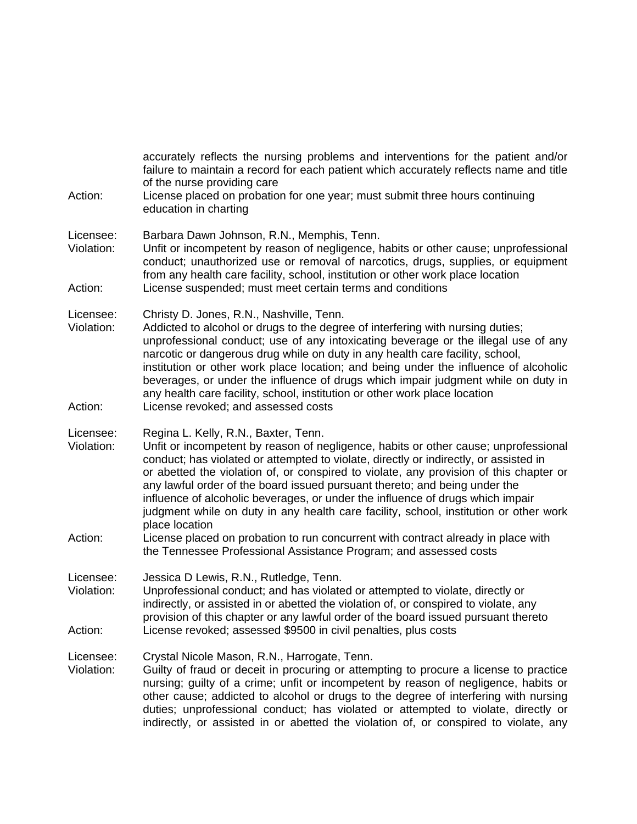| Action:                            | accurately reflects the nursing problems and interventions for the patient and/or<br>failure to maintain a record for each patient which accurately reflects name and title<br>of the nurse providing care<br>License placed on probation for one year; must submit three hours continuing<br>education in charting                                                                                                                                                                                                                                                                                                                                                                                                                                 |
|------------------------------------|-----------------------------------------------------------------------------------------------------------------------------------------------------------------------------------------------------------------------------------------------------------------------------------------------------------------------------------------------------------------------------------------------------------------------------------------------------------------------------------------------------------------------------------------------------------------------------------------------------------------------------------------------------------------------------------------------------------------------------------------------------|
| Licensee:<br>Violation:<br>Action: | Barbara Dawn Johnson, R.N., Memphis, Tenn.<br>Unfit or incompetent by reason of negligence, habits or other cause; unprofessional<br>conduct; unauthorized use or removal of narcotics, drugs, supplies, or equipment<br>from any health care facility, school, institution or other work place location<br>License suspended; must meet certain terms and conditions                                                                                                                                                                                                                                                                                                                                                                               |
| Licensee:<br>Violation:<br>Action: | Christy D. Jones, R.N., Nashville, Tenn.<br>Addicted to alcohol or drugs to the degree of interfering with nursing duties;<br>unprofessional conduct; use of any intoxicating beverage or the illegal use of any<br>narcotic or dangerous drug while on duty in any health care facility, school,<br>institution or other work place location; and being under the influence of alcoholic<br>beverages, or under the influence of drugs which impair judgment while on duty in<br>any health care facility, school, institution or other work place location<br>License revoked; and assessed costs                                                                                                                                                 |
| Licensee:<br>Violation:<br>Action: | Regina L. Kelly, R.N., Baxter, Tenn.<br>Unfit or incompetent by reason of negligence, habits or other cause; unprofessional<br>conduct; has violated or attempted to violate, directly or indirectly, or assisted in<br>or abetted the violation of, or conspired to violate, any provision of this chapter or<br>any lawful order of the board issued pursuant thereto; and being under the<br>influence of alcoholic beverages, or under the influence of drugs which impair<br>judgment while on duty in any health care facility, school, institution or other work<br>place location<br>License placed on probation to run concurrent with contract already in place with<br>the Tennessee Professional Assistance Program; and assessed costs |
| Licensee:<br>Violation:<br>Action: | Jessica D Lewis, R.N., Rutledge, Tenn.<br>Unprofessional conduct; and has violated or attempted to violate, directly or<br>indirectly, or assisted in or abetted the violation of, or conspired to violate, any<br>provision of this chapter or any lawful order of the board issued pursuant thereto<br>License revoked; assessed \$9500 in civil penalties, plus costs                                                                                                                                                                                                                                                                                                                                                                            |
| Licensee:<br>Violation:            | Crystal Nicole Mason, R.N., Harrogate, Tenn.<br>Guilty of fraud or deceit in procuring or attempting to procure a license to practice<br>nursing; guilty of a crime; unfit or incompetent by reason of negligence, habits or<br>other cause; addicted to alcohol or drugs to the degree of interfering with nursing<br>duties; unprofessional conduct; has violated or attempted to violate, directly or<br>indirectly, or assisted in or abetted the violation of, or conspired to violate, any                                                                                                                                                                                                                                                    |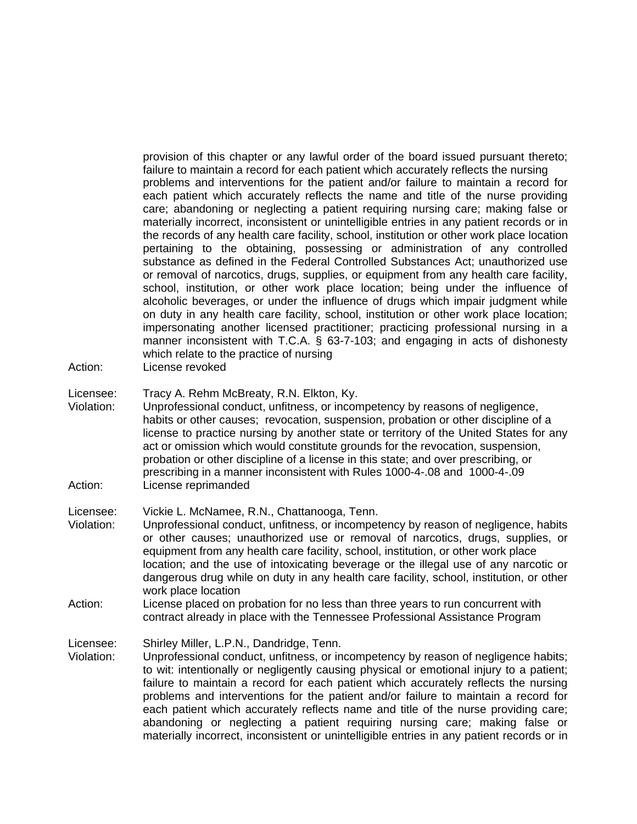provision of this chapter or any lawful order of the board issued pursuant thereto; failure to maintain a record for each patient which accurately reflects the nursing problems and interventions for the patient and/or failure to maintain a record for each patient which accurately reflects the name and title of the nurse providing care; abandoning or neglecting a patient requiring nursing care; making false or materially incorrect, inconsistent or unintelligible entries in any patient records or in the records of any health care facility, school, institution or other work place location pertaining to the obtaining, possessing or administration of any controlled substance as defined in the Federal Controlled Substances Act; unauthorized use or removal of narcotics, drugs, supplies, or equipment from any health care facility, school, institution, or other work place location; being under the influence of alcoholic beverages, or under the influence of drugs which impair judgment while on duty in any health care facility, school, institution or other work place location; impersonating another licensed practitioner; practicing professional nursing in a manner inconsistent with T.C.A. § 63-7-103; and engaging in acts of dishonesty which relate to the practice of nursing

- Action: License revoked
- Licensee: Tracy A. Rehm McBreaty, R.N. Elkton, Ky.
- Violation: Unprofessional conduct, unfitness, or incompetency by reasons of negligence, habits or other causes; revocation, suspension, probation or other discipline of a license to practice nursing by another state or territory of the United States for any act or omission which would constitute grounds for the revocation, suspension, probation or other discipline of a license in this state; and over prescribing, or prescribing in a manner inconsistent with Rules 1000-4-.08 and 1000-4-.09 Action: License reprimanded

Licensee: Vickie L. McNamee, R.N., Chattanooga, Tenn.

- Violation: Unprofessional conduct, unfitness, or incompetency by reason of negligence, habits or other causes; unauthorized use or removal of narcotics, drugs, supplies, or equipment from any health care facility, school, institution, or other work place location; and the use of intoxicating beverage or the illegal use of any narcotic or dangerous drug while on duty in any health care facility, school, institution, or other work place location
- Action: License placed on probation for no less than three years to run concurrent with contract already in place with the Tennessee Professional Assistance Program

Licensee: Shirley Miller, L.P.N., Dandridge, Tenn.

Violation: Unprofessional conduct, unfitness, or incompetency by reason of negligence habits; to wit: intentionally or negligently causing physical or emotional injury to a patient; failure to maintain a record for each patient which accurately reflects the nursing problems and interventions for the patient and/or failure to maintain a record for each patient which accurately reflects name and title of the nurse providing care; abandoning or neglecting a patient requiring nursing care; making false or materially incorrect, inconsistent or unintelligible entries in any patient records or in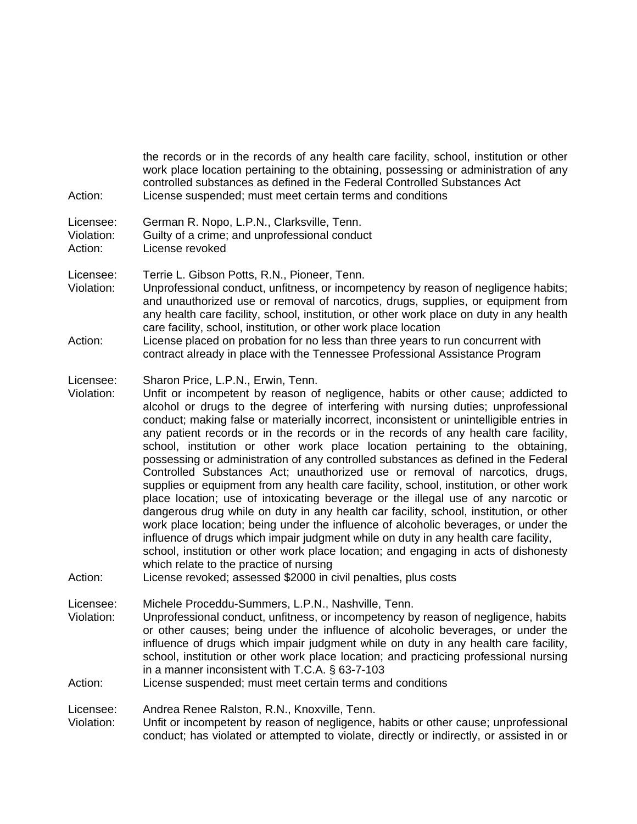| Action:                            | the records or in the records of any health care facility, school, institution or other<br>work place location pertaining to the obtaining, possessing or administration of any<br>controlled substances as defined in the Federal Controlled Substances Act<br>License suspended; must meet certain terms and conditions                                                                                                                                                                                                                                                                                                                                                                                                                                                                                                                                                                                                                                                                                                                                                                                                                                                                                                                                                                                             |
|------------------------------------|-----------------------------------------------------------------------------------------------------------------------------------------------------------------------------------------------------------------------------------------------------------------------------------------------------------------------------------------------------------------------------------------------------------------------------------------------------------------------------------------------------------------------------------------------------------------------------------------------------------------------------------------------------------------------------------------------------------------------------------------------------------------------------------------------------------------------------------------------------------------------------------------------------------------------------------------------------------------------------------------------------------------------------------------------------------------------------------------------------------------------------------------------------------------------------------------------------------------------------------------------------------------------------------------------------------------------|
| Licensee:<br>Violation:<br>Action: | German R. Nopo, L.P.N., Clarksville, Tenn.<br>Guilty of a crime; and unprofessional conduct<br>License revoked                                                                                                                                                                                                                                                                                                                                                                                                                                                                                                                                                                                                                                                                                                                                                                                                                                                                                                                                                                                                                                                                                                                                                                                                        |
| Licensee:<br>Violation:            | Terrie L. Gibson Potts, R.N., Pioneer, Tenn.<br>Unprofessional conduct, unfitness, or incompetency by reason of negligence habits;<br>and unauthorized use or removal of narcotics, drugs, supplies, or equipment from<br>any health care facility, school, institution, or other work place on duty in any health<br>care facility, school, institution, or other work place location                                                                                                                                                                                                                                                                                                                                                                                                                                                                                                                                                                                                                                                                                                                                                                                                                                                                                                                                |
| Action:                            | License placed on probation for no less than three years to run concurrent with<br>contract already in place with the Tennessee Professional Assistance Program                                                                                                                                                                                                                                                                                                                                                                                                                                                                                                                                                                                                                                                                                                                                                                                                                                                                                                                                                                                                                                                                                                                                                       |
| Licensee:<br>Violation:<br>Action: | Sharon Price, L.P.N., Erwin, Tenn.<br>Unfit or incompetent by reason of negligence, habits or other cause; addicted to<br>alcohol or drugs to the degree of interfering with nursing duties; unprofessional<br>conduct; making false or materially incorrect, inconsistent or unintelligible entries in<br>any patient records or in the records or in the records of any health care facility,<br>school, institution or other work place location pertaining to the obtaining,<br>possessing or administration of any controlled substances as defined in the Federal<br>Controlled Substances Act; unauthorized use or removal of narcotics, drugs,<br>supplies or equipment from any health care facility, school, institution, or other work<br>place location; use of intoxicating beverage or the illegal use of any narcotic or<br>dangerous drug while on duty in any health car facility, school, institution, or other<br>work place location; being under the influence of alcoholic beverages, or under the<br>influence of drugs which impair judgment while on duty in any health care facility,<br>school, institution or other work place location; and engaging in acts of dishonesty<br>which relate to the practice of nursing<br>License revoked; assessed \$2000 in civil penalties, plus costs |
| Licensee:                          | Michele Proceddu-Summers, L.P.N., Nashville, Tenn.                                                                                                                                                                                                                                                                                                                                                                                                                                                                                                                                                                                                                                                                                                                                                                                                                                                                                                                                                                                                                                                                                                                                                                                                                                                                    |
| Violation:                         | Unprofessional conduct, unfitness, or incompetency by reason of negligence, habits<br>or other causes; being under the influence of alcoholic beverages, or under the<br>influence of drugs which impair judgment while on duty in any health care facility,<br>school, institution or other work place location; and practicing professional nursing<br>in a manner inconsistent with T.C.A. § 63-7-103<br>License suspended; must meet certain terms and conditions                                                                                                                                                                                                                                                                                                                                                                                                                                                                                                                                                                                                                                                                                                                                                                                                                                                 |
| Action:                            |                                                                                                                                                                                                                                                                                                                                                                                                                                                                                                                                                                                                                                                                                                                                                                                                                                                                                                                                                                                                                                                                                                                                                                                                                                                                                                                       |
| Licensee:<br>Violation:            | Andrea Renee Ralston, R.N., Knoxville, Tenn.<br>Unfit or incompetent by reason of negligence, habits or other cause; unprofessional<br>conduct; has violated or attempted to violate, directly or indirectly, or assisted in or                                                                                                                                                                                                                                                                                                                                                                                                                                                                                                                                                                                                                                                                                                                                                                                                                                                                                                                                                                                                                                                                                       |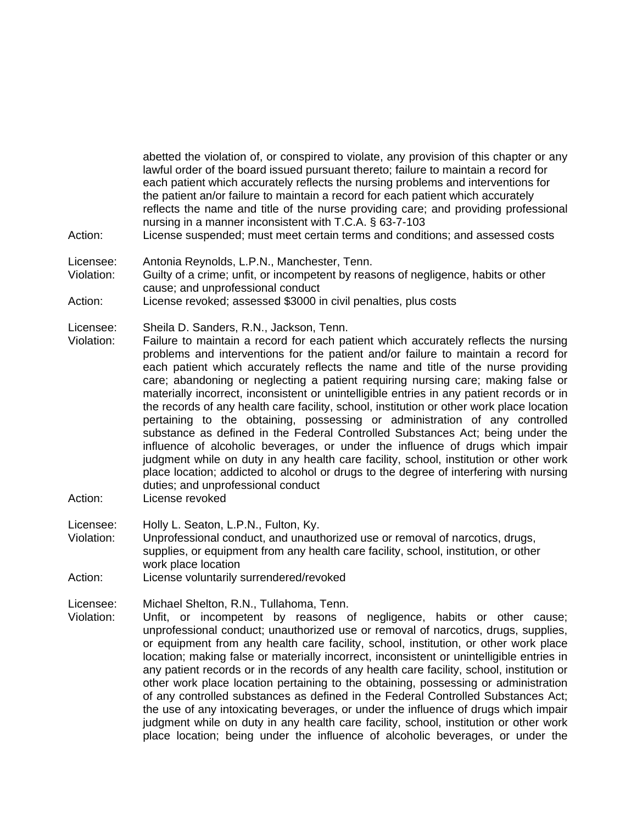abetted the violation of, or conspired to violate, any provision of this chapter or any lawful order of the board issued pursuant thereto; failure to maintain a record for each patient which accurately reflects the nursing problems and interventions for the patient an/or failure to maintain a record for each patient which accurately reflects the name and title of the nurse providing care; and providing professional nursing in a manner inconsistent with T.C.A. § 63-7-103

- Action: License suspended; must meet certain terms and conditions; and assessed costs
- Licensee: Antonia Reynolds, L.P.N., Manchester, Tenn.
- Violation: Guilty of a crime; unfit, or incompetent by reasons of negligence, habits or other cause; and unprofessional conduct
- Action: License revoked; assessed \$3000 in civil penalties, plus costs

Licensee: Sheila D. Sanders, R.N., Jackson, Tenn.

- Violation: Failure to maintain a record for each patient which accurately reflects the nursing problems and interventions for the patient and/or failure to maintain a record for each patient which accurately reflects the name and title of the nurse providing care; abandoning or neglecting a patient requiring nursing care; making false or materially incorrect, inconsistent or unintelligible entries in any patient records or in the records of any health care facility, school, institution or other work place location pertaining to the obtaining, possessing or administration of any controlled substance as defined in the Federal Controlled Substances Act; being under the influence of alcoholic beverages, or under the influence of drugs which impair judgment while on duty in any health care facility, school, institution or other work place location; addicted to alcohol or drugs to the degree of interfering with nursing duties; and unprofessional conduct
- Action: License revoked

Licensee: Holly L. Seaton, L.P.N., Fulton, Ky.

Violation: Unprofessional conduct, and unauthorized use or removal of narcotics, drugs, supplies, or equipment from any health care facility, school, institution, or other work place location

Action: License voluntarily surrendered/revoked

Licensee: Michael Shelton, R.N., Tullahoma, Tenn.

Violation: Unfit, or incompetent by reasons of negligence, habits or other cause; unprofessional conduct; unauthorized use or removal of narcotics, drugs, supplies, or equipment from any health care facility, school, institution, or other work place location; making false or materially incorrect, inconsistent or unintelligible entries in any patient records or in the records of any health care facility, school, institution or other work place location pertaining to the obtaining, possessing or administration of any controlled substances as defined in the Federal Controlled Substances Act; the use of any intoxicating beverages, or under the influence of drugs which impair judgment while on duty in any health care facility, school, institution or other work place location; being under the influence of alcoholic beverages, or under the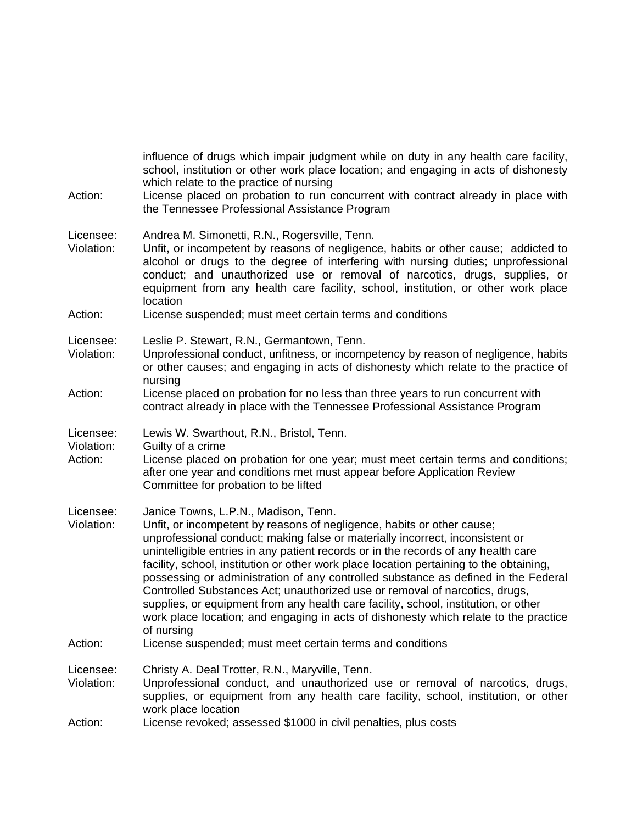| Action:                            | influence of drugs which impair judgment while on duty in any health care facility,<br>school, institution or other work place location; and engaging in acts of dishonesty<br>which relate to the practice of nursing<br>License placed on probation to run concurrent with contract already in place with<br>the Tennessee Professional Assistance Program                                                                                                                                                                                                                                                                                                                                                                                       |
|------------------------------------|----------------------------------------------------------------------------------------------------------------------------------------------------------------------------------------------------------------------------------------------------------------------------------------------------------------------------------------------------------------------------------------------------------------------------------------------------------------------------------------------------------------------------------------------------------------------------------------------------------------------------------------------------------------------------------------------------------------------------------------------------|
| Licensee:<br>Violation:            | Andrea M. Simonetti, R.N., Rogersville, Tenn.<br>Unfit, or incompetent by reasons of negligence, habits or other cause; addicted to<br>alcohol or drugs to the degree of interfering with nursing duties; unprofessional<br>conduct; and unauthorized use or removal of narcotics, drugs, supplies, or<br>equipment from any health care facility, school, institution, or other work place<br>location                                                                                                                                                                                                                                                                                                                                            |
| Action:                            | License suspended; must meet certain terms and conditions                                                                                                                                                                                                                                                                                                                                                                                                                                                                                                                                                                                                                                                                                          |
| Licensee:<br>Violation:            | Leslie P. Stewart, R.N., Germantown, Tenn.<br>Unprofessional conduct, unfitness, or incompetency by reason of negligence, habits<br>or other causes; and engaging in acts of dishonesty which relate to the practice of<br>nursing                                                                                                                                                                                                                                                                                                                                                                                                                                                                                                                 |
| Action:                            | License placed on probation for no less than three years to run concurrent with<br>contract already in place with the Tennessee Professional Assistance Program                                                                                                                                                                                                                                                                                                                                                                                                                                                                                                                                                                                    |
| Licensee:<br>Violation:<br>Action: | Lewis W. Swarthout, R.N., Bristol, Tenn.<br>Guilty of a crime<br>License placed on probation for one year; must meet certain terms and conditions;<br>after one year and conditions met must appear before Application Review<br>Committee for probation to be lifted                                                                                                                                                                                                                                                                                                                                                                                                                                                                              |
| Licensee:<br>Violation:            | Janice Towns, L.P.N., Madison, Tenn.<br>Unfit, or incompetent by reasons of negligence, habits or other cause;<br>unprofessional conduct; making false or materially incorrect, inconsistent or<br>unintelligible entries in any patient records or in the records of any health care<br>facility, school, institution or other work place location pertaining to the obtaining,<br>possessing or administration of any controlled substance as defined in the Federal<br>Controlled Substances Act; unauthorized use or removal of narcotics, drugs,<br>supplies, or equipment from any health care facility, school, institution, or other<br>work place location; and engaging in acts of dishonesty which relate to the practice<br>of nursing |
| Action:                            | License suspended; must meet certain terms and conditions                                                                                                                                                                                                                                                                                                                                                                                                                                                                                                                                                                                                                                                                                          |
| Licensee:<br>Violation:            | Christy A. Deal Trotter, R.N., Maryville, Tenn.<br>Unprofessional conduct, and unauthorized use or removal of narcotics, drugs,<br>supplies, or equipment from any health care facility, school, institution, or other<br>work place location                                                                                                                                                                                                                                                                                                                                                                                                                                                                                                      |
| Action:                            | License revoked; assessed \$1000 in civil penalties, plus costs                                                                                                                                                                                                                                                                                                                                                                                                                                                                                                                                                                                                                                                                                    |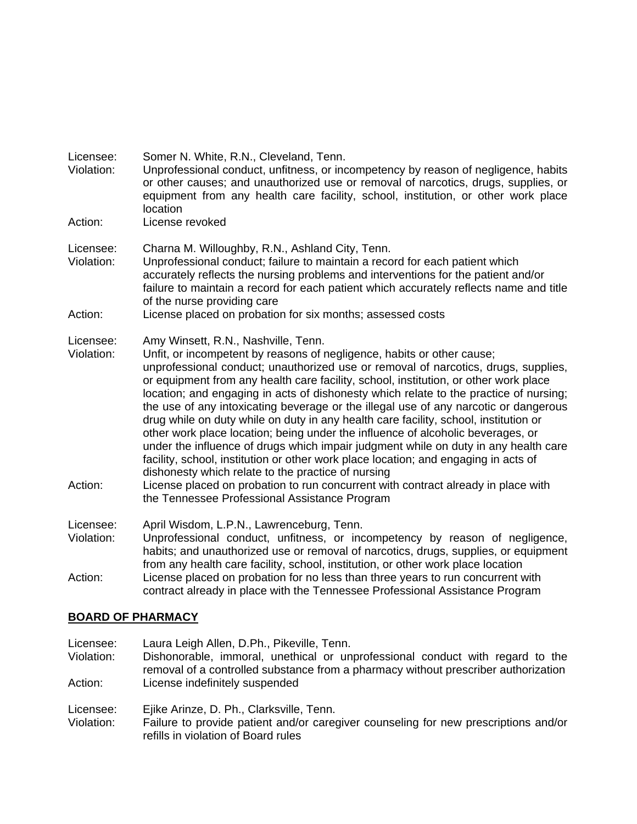| Licensee:<br>Violation:            | Somer N. White, R.N., Cleveland, Tenn.<br>Unprofessional conduct, unfitness, or incompetency by reason of negligence, habits<br>or other causes; and unauthorized use or removal of narcotics, drugs, supplies, or<br>equipment from any health care facility, school, institution, or other work place<br>location                                                                                                                                                                                                                                                                                                                                                                                                                                                                                                                                                                                                                                                                                                               |
|------------------------------------|-----------------------------------------------------------------------------------------------------------------------------------------------------------------------------------------------------------------------------------------------------------------------------------------------------------------------------------------------------------------------------------------------------------------------------------------------------------------------------------------------------------------------------------------------------------------------------------------------------------------------------------------------------------------------------------------------------------------------------------------------------------------------------------------------------------------------------------------------------------------------------------------------------------------------------------------------------------------------------------------------------------------------------------|
| Action:                            | License revoked                                                                                                                                                                                                                                                                                                                                                                                                                                                                                                                                                                                                                                                                                                                                                                                                                                                                                                                                                                                                                   |
| Licensee:<br>Violation:            | Charna M. Willoughby, R.N., Ashland City, Tenn.<br>Unprofessional conduct; failure to maintain a record for each patient which<br>accurately reflects the nursing problems and interventions for the patient and/or<br>failure to maintain a record for each patient which accurately reflects name and title<br>of the nurse providing care                                                                                                                                                                                                                                                                                                                                                                                                                                                                                                                                                                                                                                                                                      |
| Action:                            | License placed on probation for six months; assessed costs                                                                                                                                                                                                                                                                                                                                                                                                                                                                                                                                                                                                                                                                                                                                                                                                                                                                                                                                                                        |
| Licensee:<br>Violation:<br>Action: | Amy Winsett, R.N., Nashville, Tenn.<br>Unfit, or incompetent by reasons of negligence, habits or other cause;<br>unprofessional conduct; unauthorized use or removal of narcotics, drugs, supplies,<br>or equipment from any health care facility, school, institution, or other work place<br>location; and engaging in acts of dishonesty which relate to the practice of nursing;<br>the use of any intoxicating beverage or the illegal use of any narcotic or dangerous<br>drug while on duty while on duty in any health care facility, school, institution or<br>other work place location; being under the influence of alcoholic beverages, or<br>under the influence of drugs which impair judgment while on duty in any health care<br>facility, school, institution or other work place location; and engaging in acts of<br>dishonesty which relate to the practice of nursing<br>License placed on probation to run concurrent with contract already in place with<br>the Tennessee Professional Assistance Program |
| Licensee:<br>Violation:<br>Action: | April Wisdom, L.P.N., Lawrenceburg, Tenn.<br>Unprofessional conduct, unfitness, or incompetency by reason of negligence,<br>habits; and unauthorized use or removal of narcotics, drugs, supplies, or equipment<br>from any health care facility, school, institution, or other work place location<br>License placed on probation for no less than three years to run concurrent with<br>contract already in place with the Tennessee Professional Assistance Program                                                                                                                                                                                                                                                                                                                                                                                                                                                                                                                                                            |

# **BOARD OF PHARMACY**

| Licensee:<br>Violation: | Laura Leigh Allen, D.Ph., Pikeville, Tenn.<br>Dishonorable, immoral, unethical or unprofessional conduct with regard to the<br>removal of a controlled substance from a pharmacy without prescriber authorization |
|-------------------------|-------------------------------------------------------------------------------------------------------------------------------------------------------------------------------------------------------------------|
| Action:                 | License indefinitely suspended                                                                                                                                                                                    |
| Licensee:<br>Violation: | Ejike Arinze, D. Ph., Clarksville, Tenn.<br>Failure to provide patient and/or caregiver counseling for new prescriptions and/or<br>refills in violation of Board rules                                            |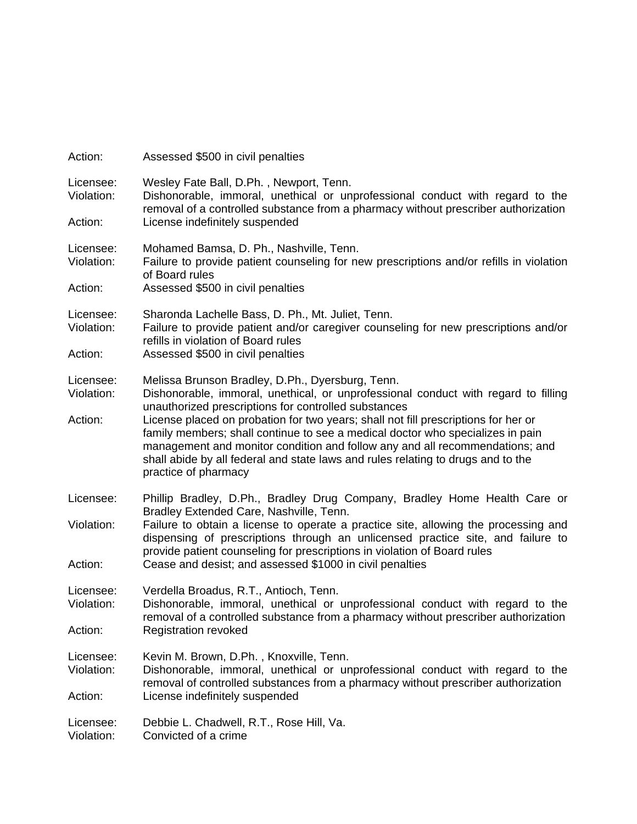| Action:                            | Assessed \$500 in civil penalties                                                                                                                                                                                                                                                                                                                                                                                        |
|------------------------------------|--------------------------------------------------------------------------------------------------------------------------------------------------------------------------------------------------------------------------------------------------------------------------------------------------------------------------------------------------------------------------------------------------------------------------|
| Licensee:<br>Violation:<br>Action: | Wesley Fate Ball, D.Ph., Newport, Tenn.<br>Dishonorable, immoral, unethical or unprofessional conduct with regard to the<br>removal of a controlled substance from a pharmacy without prescriber authorization<br>License indefinitely suspended                                                                                                                                                                         |
|                                    |                                                                                                                                                                                                                                                                                                                                                                                                                          |
| Licensee:<br>Violation:            | Mohamed Bamsa, D. Ph., Nashville, Tenn.<br>Failure to provide patient counseling for new prescriptions and/or refills in violation<br>of Board rules                                                                                                                                                                                                                                                                     |
| Action:                            | Assessed \$500 in civil penalties                                                                                                                                                                                                                                                                                                                                                                                        |
| Licensee:<br>Violation:            | Sharonda Lachelle Bass, D. Ph., Mt. Juliet, Tenn.<br>Failure to provide patient and/or caregiver counseling for new prescriptions and/or<br>refills in violation of Board rules                                                                                                                                                                                                                                          |
| Action:                            | Assessed \$500 in civil penalties                                                                                                                                                                                                                                                                                                                                                                                        |
| Licensee:<br>Violation:            | Melissa Brunson Bradley, D.Ph., Dyersburg, Tenn.<br>Dishonorable, immoral, unethical, or unprofessional conduct with regard to filling                                                                                                                                                                                                                                                                                   |
| Action:                            | unauthorized prescriptions for controlled substances<br>License placed on probation for two years; shall not fill prescriptions for her or<br>family members; shall continue to see a medical doctor who specializes in pain<br>management and monitor condition and follow any and all recommendations; and<br>shall abide by all federal and state laws and rules relating to drugs and to the<br>practice of pharmacy |
| Licensee:                          | Phillip Bradley, D.Ph., Bradley Drug Company, Bradley Home Health Care or                                                                                                                                                                                                                                                                                                                                                |
| Violation:                         | Bradley Extended Care, Nashville, Tenn.<br>Failure to obtain a license to operate a practice site, allowing the processing and<br>dispensing of prescriptions through an unlicensed practice site, and failure to<br>provide patient counseling for prescriptions in violation of Board rules                                                                                                                            |
| Action:                            | Cease and desist; and assessed \$1000 in civil penalties                                                                                                                                                                                                                                                                                                                                                                 |
| Licensee:<br>Violation:            | Verdella Broadus, R.T., Antioch, Tenn.<br>Dishonorable, immoral, unethical or unprofessional conduct with regard to the                                                                                                                                                                                                                                                                                                  |
| Action:                            | removal of a controlled substance from a pharmacy without prescriber authorization<br><b>Registration revoked</b>                                                                                                                                                                                                                                                                                                        |
| Licensee:<br>Violation:            | Kevin M. Brown, D.Ph., Knoxville, Tenn.<br>Dishonorable, immoral, unethical or unprofessional conduct with regard to the<br>removal of controlled substances from a pharmacy without prescriber authorization                                                                                                                                                                                                            |
| Action:                            | License indefinitely suspended                                                                                                                                                                                                                                                                                                                                                                                           |
| Licensee:<br>Violation:            | Debbie L. Chadwell, R.T., Rose Hill, Va.<br>Convicted of a crime                                                                                                                                                                                                                                                                                                                                                         |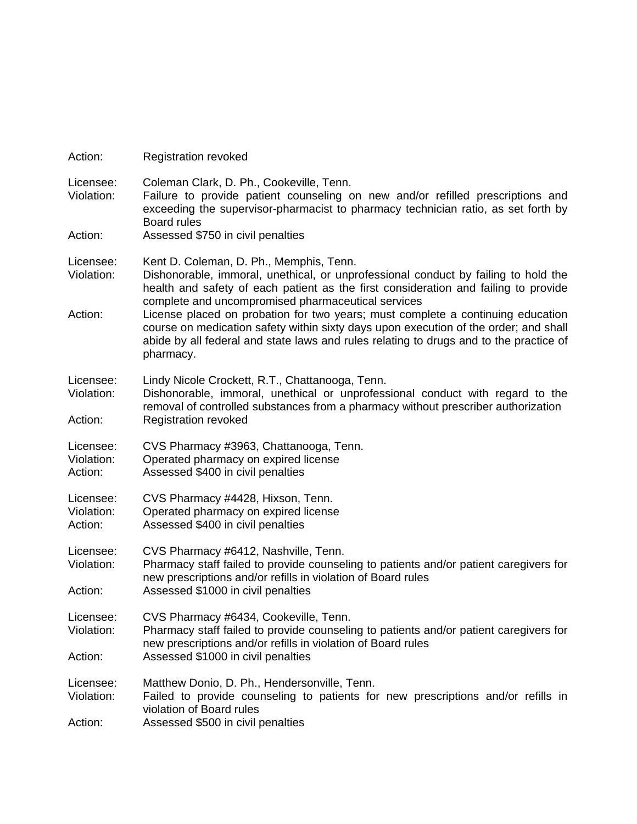| Action:                            | <b>Registration revoked</b>                                                                                                                                                                                                                                                                                                                                                                                                                                                                                                                                  |
|------------------------------------|--------------------------------------------------------------------------------------------------------------------------------------------------------------------------------------------------------------------------------------------------------------------------------------------------------------------------------------------------------------------------------------------------------------------------------------------------------------------------------------------------------------------------------------------------------------|
| Licensee:<br>Violation:<br>Action: | Coleman Clark, D. Ph., Cookeville, Tenn.<br>Failure to provide patient counseling on new and/or refilled prescriptions and<br>exceeding the supervisor-pharmacist to pharmacy technician ratio, as set forth by<br><b>Board rules</b><br>Assessed \$750 in civil penalties                                                                                                                                                                                                                                                                                   |
| Licensee:<br>Violation:<br>Action: | Kent D. Coleman, D. Ph., Memphis, Tenn.<br>Dishonorable, immoral, unethical, or unprofessional conduct by failing to hold the<br>health and safety of each patient as the first consideration and failing to provide<br>complete and uncompromised pharmaceutical services<br>License placed on probation for two years; must complete a continuing education<br>course on medication safety within sixty days upon execution of the order; and shall<br>abide by all federal and state laws and rules relating to drugs and to the practice of<br>pharmacy. |
| Licensee:<br>Violation:<br>Action: | Lindy Nicole Crockett, R.T., Chattanooga, Tenn.<br>Dishonorable, immoral, unethical or unprofessional conduct with regard to the<br>removal of controlled substances from a pharmacy without prescriber authorization<br><b>Registration revoked</b>                                                                                                                                                                                                                                                                                                         |
| Licensee:<br>Violation:<br>Action: | CVS Pharmacy #3963, Chattanooga, Tenn.<br>Operated pharmacy on expired license<br>Assessed \$400 in civil penalties                                                                                                                                                                                                                                                                                                                                                                                                                                          |
| Licensee:<br>Violation:<br>Action: | CVS Pharmacy #4428, Hixson, Tenn.<br>Operated pharmacy on expired license<br>Assessed \$400 in civil penalties                                                                                                                                                                                                                                                                                                                                                                                                                                               |
| Licensee:<br>Violation:<br>Action: | CVS Pharmacy #6412, Nashville, Tenn.<br>Pharmacy staff failed to provide counseling to patients and/or patient caregivers for<br>new prescriptions and/or refills in violation of Board rules<br>Assessed \$1000 in civil penalties                                                                                                                                                                                                                                                                                                                          |
| Licensee:<br>Violation:<br>Action: | CVS Pharmacy #6434, Cookeville, Tenn.<br>Pharmacy staff failed to provide counseling to patients and/or patient caregivers for<br>new prescriptions and/or refills in violation of Board rules<br>Assessed \$1000 in civil penalties                                                                                                                                                                                                                                                                                                                         |
| Licensee:<br>Violation:<br>Action: | Matthew Donio, D. Ph., Hendersonville, Tenn.<br>Failed to provide counseling to patients for new prescriptions and/or refills in<br>violation of Board rules<br>Assessed \$500 in civil penalties                                                                                                                                                                                                                                                                                                                                                            |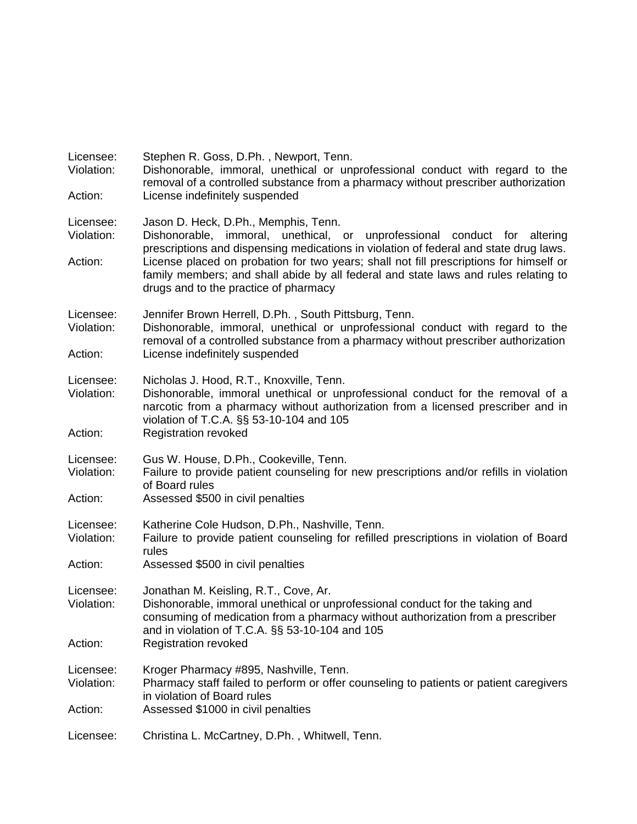| Licensee:<br>Violation:<br>Action: | Stephen R. Goss, D.Ph., Newport, Tenn.<br>Dishonorable, immoral, unethical or unprofessional conduct with regard to the<br>removal of a controlled substance from a pharmacy without prescriber authorization<br>License indefinitely suspended                                                                                                                                               |
|------------------------------------|-----------------------------------------------------------------------------------------------------------------------------------------------------------------------------------------------------------------------------------------------------------------------------------------------------------------------------------------------------------------------------------------------|
| Licensee:<br>Violation:<br>Action: | Jason D. Heck, D.Ph., Memphis, Tenn.<br>unethical, or unprofessional conduct for altering<br>Dishonorable, immoral,<br>prescriptions and dispensing medications in violation of federal and state drug laws.<br>License placed on probation for two years; shall not fill prescriptions for himself or<br>family members; and shall abide by all federal and state laws and rules relating to |
|                                    | drugs and to the practice of pharmacy                                                                                                                                                                                                                                                                                                                                                         |
| Licensee:<br>Violation:            | Jennifer Brown Herrell, D.Ph., South Pittsburg, Tenn.<br>Dishonorable, immoral, unethical or unprofessional conduct with regard to the<br>removal of a controlled substance from a pharmacy without prescriber authorization                                                                                                                                                                  |
| Action:                            | License indefinitely suspended                                                                                                                                                                                                                                                                                                                                                                |
| Licensee:<br>Violation:            | Nicholas J. Hood, R.T., Knoxville, Tenn.<br>Dishonorable, immoral unethical or unprofessional conduct for the removal of a<br>narcotic from a pharmacy without authorization from a licensed prescriber and in<br>violation of T.C.A. §§ 53-10-104 and 105                                                                                                                                    |
| Action:                            | <b>Registration revoked</b>                                                                                                                                                                                                                                                                                                                                                                   |
| Licensee:<br>Violation:            | Gus W. House, D.Ph., Cookeville, Tenn.<br>Failure to provide patient counseling for new prescriptions and/or refills in violation<br>of Board rules                                                                                                                                                                                                                                           |
| Action:                            | Assessed \$500 in civil penalties                                                                                                                                                                                                                                                                                                                                                             |
| Licensee:<br>Violation:            | Katherine Cole Hudson, D.Ph., Nashville, Tenn.<br>Failure to provide patient counseling for refilled prescriptions in violation of Board<br>rules                                                                                                                                                                                                                                             |
| Action:                            | Assessed \$500 in civil penalties                                                                                                                                                                                                                                                                                                                                                             |
| Licensee:<br>Violation:            | Jonathan M. Keisling, R.T., Cove, Ar.<br>Dishonorable, immoral unethical or unprofessional conduct for the taking and<br>consuming of medication from a pharmacy without authorization from a prescriber<br>and in violation of T.C.A. §§ 53-10-104 and 105                                                                                                                                   |
| Action:                            | <b>Registration revoked</b>                                                                                                                                                                                                                                                                                                                                                                   |
| Licensee:<br>Violation:            | Kroger Pharmacy #895, Nashville, Tenn.<br>Pharmacy staff failed to perform or offer counseling to patients or patient caregivers<br>in violation of Board rules                                                                                                                                                                                                                               |
| Action:                            | Assessed \$1000 in civil penalties                                                                                                                                                                                                                                                                                                                                                            |
| Licensee:                          | Christina L. McCartney, D.Ph., Whitwell, Tenn.                                                                                                                                                                                                                                                                                                                                                |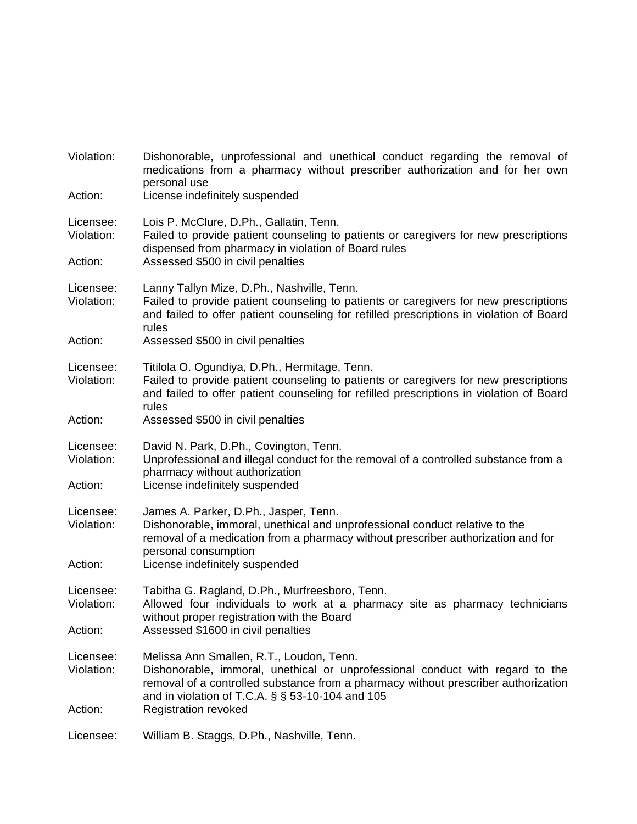| Violation:              | Dishonorable, unprofessional and unethical conduct regarding the removal of<br>medications from a pharmacy without prescriber authorization and for her own<br>personal use                                                                                               |
|-------------------------|---------------------------------------------------------------------------------------------------------------------------------------------------------------------------------------------------------------------------------------------------------------------------|
| Action:                 | License indefinitely suspended                                                                                                                                                                                                                                            |
| Licensee:<br>Violation: | Lois P. McClure, D.Ph., Gallatin, Tenn.<br>Failed to provide patient counseling to patients or caregivers for new prescriptions<br>dispensed from pharmacy in violation of Board rules                                                                                    |
| Action:                 | Assessed \$500 in civil penalties                                                                                                                                                                                                                                         |
| Licensee:<br>Violation: | Lanny Tallyn Mize, D.Ph., Nashville, Tenn.<br>Failed to provide patient counseling to patients or caregivers for new prescriptions<br>and failed to offer patient counseling for refilled prescriptions in violation of Board<br>rules                                    |
| Action:                 | Assessed \$500 in civil penalties                                                                                                                                                                                                                                         |
| Licensee:<br>Violation: | Titilola O. Ogundiya, D.Ph., Hermitage, Tenn.<br>Failed to provide patient counseling to patients or caregivers for new prescriptions<br>and failed to offer patient counseling for refilled prescriptions in violation of Board<br>rules                                 |
| Action:                 | Assessed \$500 in civil penalties                                                                                                                                                                                                                                         |
| Licensee:<br>Violation: | David N. Park, D.Ph., Covington, Tenn.<br>Unprofessional and illegal conduct for the removal of a controlled substance from a<br>pharmacy without authorization                                                                                                           |
| Action:                 | License indefinitely suspended                                                                                                                                                                                                                                            |
| Licensee:<br>Violation: | James A. Parker, D.Ph., Jasper, Tenn.<br>Dishonorable, immoral, unethical and unprofessional conduct relative to the<br>removal of a medication from a pharmacy without prescriber authorization and for<br>personal consumption                                          |
| Action:                 | License indefinitely suspended                                                                                                                                                                                                                                            |
| Licensee:<br>Violation: | Tabitha G. Ragland, D.Ph., Murfreesboro, Tenn.<br>Allowed four individuals to work at a pharmacy site as pharmacy technicians<br>without proper registration with the Board                                                                                               |
| Action:                 | Assessed \$1600 in civil penalties                                                                                                                                                                                                                                        |
| Licensee:<br>Violation: | Melissa Ann Smallen, R.T., Loudon, Tenn.<br>Dishonorable, immoral, unethical or unprofessional conduct with regard to the<br>removal of a controlled substance from a pharmacy without prescriber authorization<br>and in violation of T.C.A. $\S$ $\S$ 53-10-104 and 105 |
| Action:                 | <b>Registration revoked</b>                                                                                                                                                                                                                                               |
| Licensee:               | William B. Staggs, D.Ph., Nashville, Tenn.                                                                                                                                                                                                                                |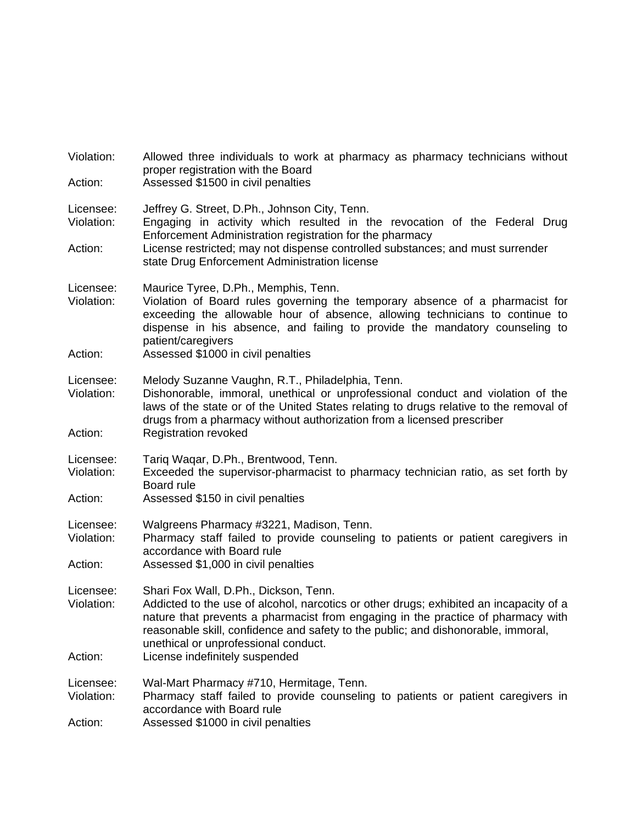| Violation:<br>Action:              | Allowed three individuals to work at pharmacy as pharmacy technicians without<br>proper registration with the Board<br>Assessed \$1500 in civil penalties                                                                                                                                                                                                                          |
|------------------------------------|------------------------------------------------------------------------------------------------------------------------------------------------------------------------------------------------------------------------------------------------------------------------------------------------------------------------------------------------------------------------------------|
| Licensee:<br>Violation:            | Jeffrey G. Street, D.Ph., Johnson City, Tenn.<br>Engaging in activity which resulted in the revocation of the Federal Drug<br>Enforcement Administration registration for the pharmacy<br>License restricted; may not dispense controlled substances; and must surrender<br>state Drug Enforcement Administration license                                                          |
| Action:                            |                                                                                                                                                                                                                                                                                                                                                                                    |
| Licensee:<br>Violation:<br>Action: | Maurice Tyree, D.Ph., Memphis, Tenn.<br>Violation of Board rules governing the temporary absence of a pharmacist for<br>exceeding the allowable hour of absence, allowing technicians to continue to<br>dispense in his absence, and failing to provide the mandatory counseling to<br>patient/caregivers<br>Assessed \$1000 in civil penalties                                    |
| Licensee:<br>Violation:<br>Action: | Melody Suzanne Vaughn, R.T., Philadelphia, Tenn.<br>Dishonorable, immoral, unethical or unprofessional conduct and violation of the<br>laws of the state or of the United States relating to drugs relative to the removal of<br>drugs from a pharmacy without authorization from a licensed prescriber<br><b>Registration revoked</b>                                             |
| Licensee:<br>Violation:<br>Action: | Tariq Waqar, D.Ph., Brentwood, Tenn.<br>Exceeded the supervisor-pharmacist to pharmacy technician ratio, as set forth by<br>Board rule<br>Assessed \$150 in civil penalties                                                                                                                                                                                                        |
| Licensee:<br>Violation:<br>Action: | Walgreens Pharmacy #3221, Madison, Tenn.<br>Pharmacy staff failed to provide counseling to patients or patient caregivers in<br>accordance with Board rule<br>Assessed \$1,000 in civil penalties                                                                                                                                                                                  |
| Licensee:<br>Violation:<br>Action: | Shari Fox Wall, D.Ph., Dickson, Tenn.<br>Addicted to the use of alcohol, narcotics or other drugs; exhibited an incapacity of a<br>nature that prevents a pharmacist from engaging in the practice of pharmacy with<br>reasonable skill, confidence and safety to the public; and dishonorable, immoral,<br>unethical or unprofessional conduct.<br>License indefinitely suspended |
| Licensee:<br>Violation:<br>Action: | Wal-Mart Pharmacy #710, Hermitage, Tenn.<br>Pharmacy staff failed to provide counseling to patients or patient caregivers in<br>accordance with Board rule<br>Assessed \$1000 in civil penalties                                                                                                                                                                                   |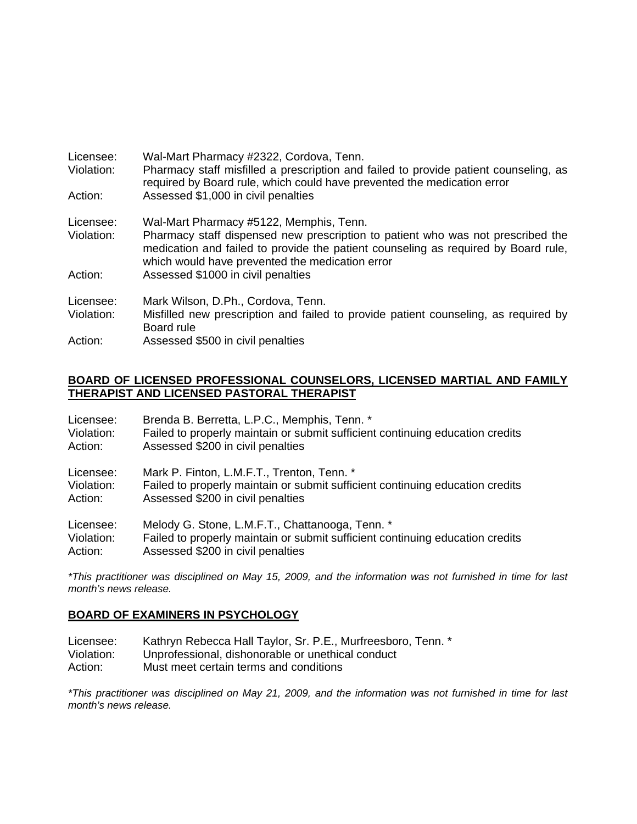| Licensee:<br>Violation: | Wal-Mart Pharmacy #2322, Cordova, Tenn.<br>Pharmacy staff misfilled a prescription and failed to provide patient counseling, as<br>required by Board rule, which could have prevented the medication error               |
|-------------------------|--------------------------------------------------------------------------------------------------------------------------------------------------------------------------------------------------------------------------|
| Action:                 | Assessed \$1,000 in civil penalties                                                                                                                                                                                      |
| Licensee:               | Wal-Mart Pharmacy #5122, Memphis, Tenn.                                                                                                                                                                                  |
| Violation:              | Pharmacy staff dispensed new prescription to patient who was not prescribed the<br>medication and failed to provide the patient counseling as required by Board rule,<br>which would have prevented the medication error |
| Action:                 | Assessed \$1000 in civil penalties                                                                                                                                                                                       |
| Licensee:               | Mark Wilson, D.Ph., Cordova, Tenn.                                                                                                                                                                                       |
| Violation:              | Misfilled new prescription and failed to provide patient counseling, as required by                                                                                                                                      |
|                         | Board rule                                                                                                                                                                                                               |
| Action:                 | Assessed \$500 in civil penalties                                                                                                                                                                                        |

### **BOARD OF LICENSED PROFESSIONAL COUNSELORS, LICENSED MARTIAL AND FAMILY THERAPIST AND LICENSED PASTORAL THERAPIST**

| Licensee:  | Brenda B. Berretta, L.P.C., Memphis, Tenn. *                                  |
|------------|-------------------------------------------------------------------------------|
| Violation: | Failed to properly maintain or submit sufficient continuing education credits |
| Action:    | Assessed \$200 in civil penalties                                             |
| Licensee:  | Mark P. Finton, L.M.F.T., Trenton, Tenn. *                                    |
| Violation: | Failed to properly maintain or submit sufficient continuing education credits |
| Action:    | Assessed \$200 in civil penalties                                             |
| Licensee:  | Melody G. Stone, L.M.F.T., Chattanooga, Tenn. *                               |
| Violation: | Failed to properly maintain or submit sufficient continuing education credits |
| Action:    | Assessed \$200 in civil penalties                                             |

*\*This practitioner was disciplined on May 15, 2009, and the information was not furnished in time for last month's news release.* 

### **BOARD OF EXAMINERS IN PSYCHOLOGY**

- Licensee: Kathryn Rebecca Hall Taylor, Sr. P.E., Murfreesboro, Tenn. \*
- Violation: Unprofessional, dishonorable or unethical conduct
- Action: Must meet certain terms and conditions

*\*This practitioner was disciplined on May 21, 2009, and the information was not furnished in time for last month's news release.*